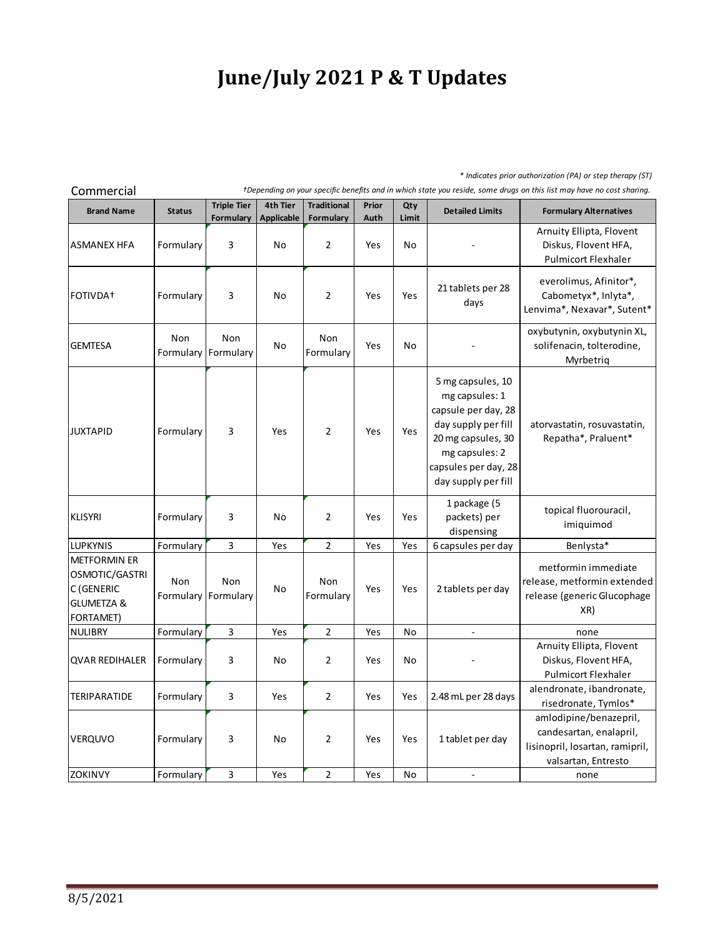## **June/July 2021 P & T Updates**

*\* Indicates prior authorization (PA) or step therapy (ST)*

| Commercial                                                                            |                  |                                 | +Depending on your specific benefits and in which state you reside, some drugs on this list may have no cost sharing. |                                        |               |              |                                                                                                                                                                          |                                                                                                             |
|---------------------------------------------------------------------------------------|------------------|---------------------------------|-----------------------------------------------------------------------------------------------------------------------|----------------------------------------|---------------|--------------|--------------------------------------------------------------------------------------------------------------------------------------------------------------------------|-------------------------------------------------------------------------------------------------------------|
| <b>Brand Name</b>                                                                     | <b>Status</b>    | <b>Triple Tier</b><br>Formulary | 4th Tier<br>Applicable                                                                                                | <b>Traditional</b><br><b>Formulary</b> | Prior<br>Auth | Qty<br>Limit | <b>Detailed Limits</b>                                                                                                                                                   | <b>Formulary Alternatives</b>                                                                               |
| ASMANEX HFA                                                                           | Formulary        | 3                               | No                                                                                                                    | $\overline{2}$                         | Yes           | No           |                                                                                                                                                                          | Arnuity Ellipta, Flovent<br>Diskus, Flovent HFA,<br><b>Pulmicort Flexhaler</b>                              |
| FOTIVDA†                                                                              | Formulary        | 3                               | No                                                                                                                    | $\overline{2}$                         | Yes           | Yes          | 21 tablets per 28<br>days                                                                                                                                                | everolimus, Afinitor*,<br>Cabometyx*, Inlyta*,<br>Lenvima*, Nexavar*, Sutent*                               |
| <b>GEMTESA</b>                                                                        | Non<br>Formulary | Non<br>Formulary                | No                                                                                                                    | Non<br>Formulary                       | Yes           | No           |                                                                                                                                                                          | oxybutynin, oxybutynin XL,<br>solifenacin, tolterodine,<br>Myrbetriq                                        |
| <b>JUXTAPID</b>                                                                       | Formulary        | 3                               | Yes                                                                                                                   | $\overline{2}$                         | Yes           | Yes          | 5 mg capsules, 10<br>mg capsules: 1<br>capsule per day, 28<br>day supply per fill<br>20 mg capsules, 30<br>mg capsules: 2<br>capsules per day, 28<br>day supply per fill | atorvastatin, rosuvastatin,<br>Repatha*, Praluent*                                                          |
| <b>KLISYRI</b>                                                                        | Formulary        | 3                               | No                                                                                                                    | $\overline{2}$                         | Yes           | Yes          | 1 package (5<br>packets) per<br>dispensing                                                                                                                               | topical fluorouracil,<br>imiquimod                                                                          |
| <b>LUPKYNIS</b>                                                                       | Formulary        | 3                               | Yes                                                                                                                   | $\overline{2}$                         | Yes           | Yes          | 6 capsules per day                                                                                                                                                       | Benlysta*                                                                                                   |
| <b>METFORMIN ER</b><br>OSMOTIC/GASTRI<br>C (GENERIC<br>GLUMETZA &<br><b>FORTAMET)</b> | Non              | Non<br>Formulary Formulary      | No                                                                                                                    | Non<br>Formulary                       | Yes           | Yes          | 2 tablets per day                                                                                                                                                        | metformin immediate<br>release, metformin extended<br>release (generic Glucophage<br>XR)                    |
| <b>NULIBRY</b>                                                                        | Formulary        | 3                               | Yes                                                                                                                   | $\overline{2}$                         | Yes           | No           | $\blacksquare$                                                                                                                                                           | none                                                                                                        |
| <b>QVAR REDIHALER</b>                                                                 | Formulary        | 3                               | No                                                                                                                    | $\overline{2}$                         | Yes           | No           |                                                                                                                                                                          | Arnuity Ellipta, Flovent<br>Diskus, Flovent HFA,<br><b>Pulmicort Flexhaler</b>                              |
| TERIPARATIDE                                                                          | Formulary        | 3                               | Yes                                                                                                                   | 2                                      | Yes           | Yes          | 2.48 mL per 28 days                                                                                                                                                      | alendronate, ibandronate,<br>risedronate, Tymlos*                                                           |
| VERQUVO                                                                               | Formulary        | 3                               | No                                                                                                                    | $\overline{2}$                         | Yes           | Yes          | 1 tablet per day                                                                                                                                                         | amlodipine/benazepril,<br>candesartan, enalapril,<br>lisinopril, losartan, ramipril,<br>valsartan, Entresto |
| <b>ZOKINVY</b>                                                                        | Formulary        | 3                               | Yes                                                                                                                   | 2                                      | Yes           | No           | ä,                                                                                                                                                                       | none                                                                                                        |
|                                                                                       |                  |                                 |                                                                                                                       |                                        |               |              |                                                                                                                                                                          |                                                                                                             |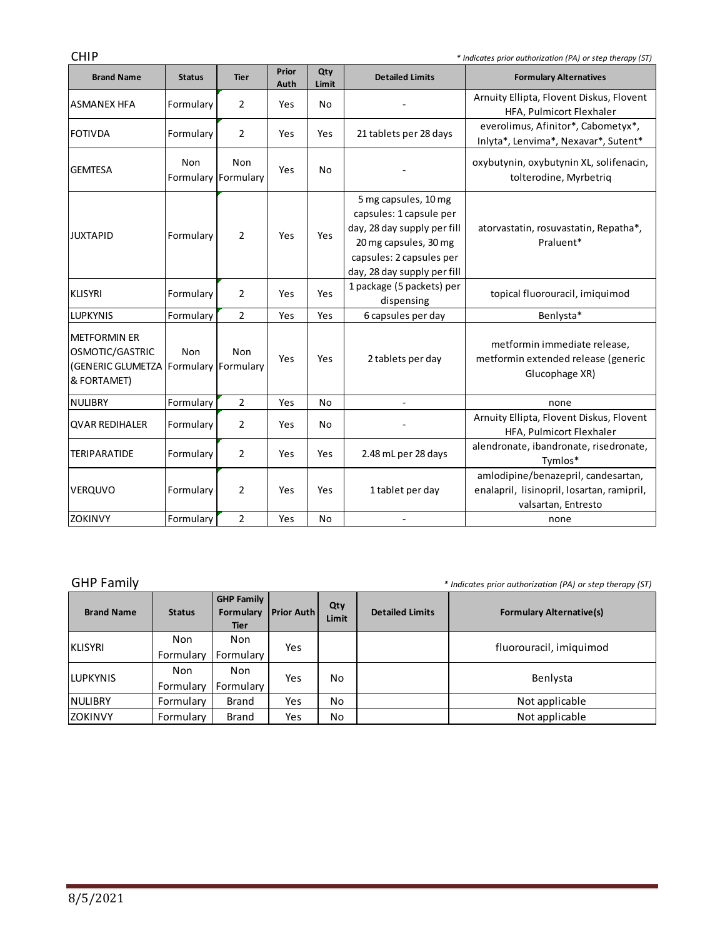| <b>CHIP</b>                                                                 |               |                                   |               |              |                                                                                                                                                                    | * Indicates prior authorization (PA) or step therapy (ST)                                                |
|-----------------------------------------------------------------------------|---------------|-----------------------------------|---------------|--------------|--------------------------------------------------------------------------------------------------------------------------------------------------------------------|----------------------------------------------------------------------------------------------------------|
| <b>Brand Name</b>                                                           | <b>Status</b> | <b>Tier</b>                       | Prior<br>Auth | Qty<br>Limit | <b>Detailed Limits</b>                                                                                                                                             | <b>Formulary Alternatives</b>                                                                            |
| <b>ASMANEX HFA</b>                                                          | Formulary     | 2                                 | Yes           | No           |                                                                                                                                                                    | Arnuity Ellipta, Flovent Diskus, Flovent<br>HFA, Pulmicort Flexhaler                                     |
| <b>FOTIVDA</b>                                                              | Formulary     | $\overline{2}$                    | Yes           | Yes          | 21 tablets per 28 days                                                                                                                                             | everolimus, Afinitor*, Cabometyx*,<br>Inlyta*, Lenvima*, Nexavar*, Sutent*                               |
| <b>GEMTESA</b>                                                              | Non           | <b>Non</b><br>Formulary Formulary | Yes           | No           |                                                                                                                                                                    | oxybutynin, oxybutynin XL, solifenacin,<br>tolterodine, Myrbetriq                                        |
| <b>JUXTAPID</b>                                                             | Formulary     | $\overline{2}$                    | Yes           | Yes          | 5 mg capsules, 10 mg<br>capsules: 1 capsule per<br>day, 28 day supply per fill<br>20 mg capsules, 30 mg<br>capsules: 2 capsules per<br>day, 28 day supply per fill | atorvastatin, rosuvastatin, Repatha*,<br>Praluent*                                                       |
| <b>KLISYRI</b>                                                              | Formulary     | $\overline{2}$                    | Yes           | Yes          | 1 package (5 packets) per<br>dispensing                                                                                                                            | topical fluorouracil, imiquimod                                                                          |
| <b>LUPKYNIS</b>                                                             | Formulary     | $\overline{2}$                    | Yes           | Yes          | 6 capsules per day                                                                                                                                                 | Benlysta*                                                                                                |
| <b>METFORMIN ER</b><br>OSMOTIC/GASTRIC<br>(GENERIC GLUMETZA)<br>& FORTAMET) | Non           | Non<br>Formulary Formulary        | Yes           | Yes          | 2 tablets per day                                                                                                                                                  | metformin immediate release,<br>metformin extended release (generic<br>Glucophage XR)                    |
| <b>NULIBRY</b>                                                              | Formulary     | $\overline{2}$                    | Yes           | No           |                                                                                                                                                                    | none                                                                                                     |
| <b>QVAR REDIHALER</b>                                                       | Formulary     | $\overline{2}$                    | Yes           | No           |                                                                                                                                                                    | Arnuity Ellipta, Flovent Diskus, Flovent<br>HFA, Pulmicort Flexhaler                                     |
| <b>TERIPARATIDE</b>                                                         | Formulary     | 2                                 | Yes           | Yes          | 2.48 mL per 28 days                                                                                                                                                | alendronate, ibandronate, risedronate,<br>Tymlos*                                                        |
| VERQUVO                                                                     | Formulary     | 2                                 | Yes           | Yes          | 1 tablet per day                                                                                                                                                   | amlodipine/benazepril, candesartan,<br>enalapril, lisinopril, losartan, ramipril,<br>valsartan, Entresto |
| <b>ZOKINVY</b>                                                              | Formulary     | $\overline{2}$                    | Yes           | No           |                                                                                                                                                                    | none                                                                                                     |

GHP Family *\* Indicates prior authorization (PA) or step therapy (ST)*

÷,

| <b>Brand Name</b> | <b>Status</b>    | <b>GHP Family</b><br>Formulary<br><b>Tier</b> | <b>Prior Auth</b> | Qty<br>Limit | <b>Detailed Limits</b> | <b>Formulary Alternative(s)</b> |
|-------------------|------------------|-----------------------------------------------|-------------------|--------------|------------------------|---------------------------------|
| KLISYRI           | Non<br>Formulary | Non<br>Formulary                              | Yes               |              |                        | fluorouracil, imiquimod         |
| ILUPKYNIS         | Non<br>Formulary | Non<br>Formulary                              | Yes               | No           |                        | Benlysta                        |
| NULIBRY           | Formulary        | Brand                                         | Yes               | No           |                        | Not applicable                  |
| IZOKINVY          | Formulary        | Brand                                         | Yes               | No           |                        | Not applicable                  |
|                   |                  |                                               |                   |              |                        |                                 |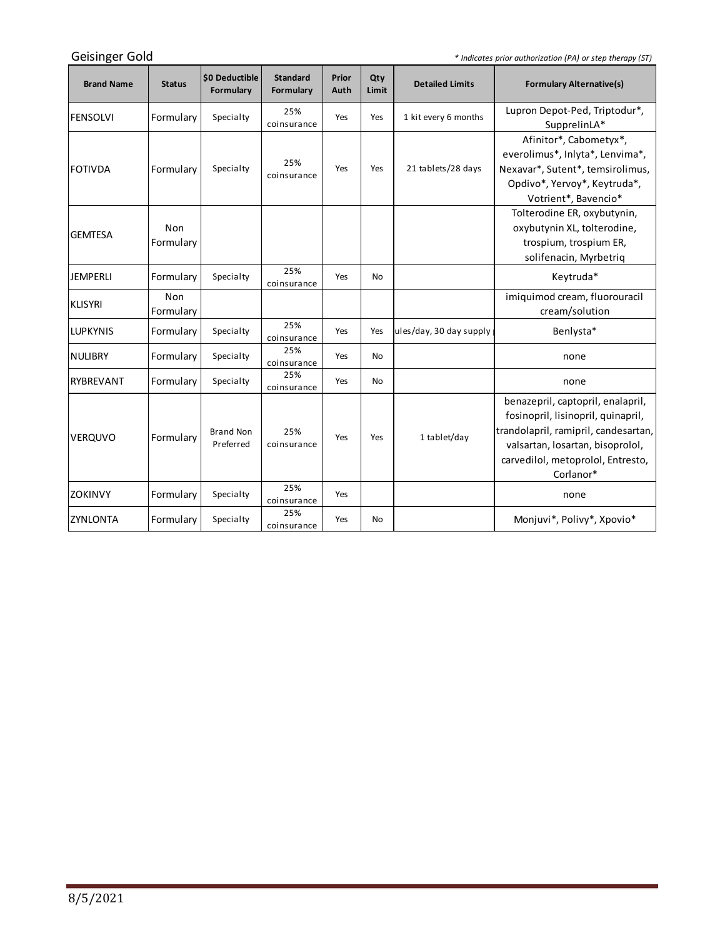Geisinger Gold

*\* Indicates prior authorization (PA) or step therapy (ST)*

and the control of the control of

| <b>Brand Name</b> | <b>Status</b>    | \$0 Deductible<br>Formulary   | <b>Standard</b><br>Formulary | Prior<br>Auth | Qty<br>Limit | <b>Detailed Limits</b>  | <b>Formulary Alternative(s)</b>                                                                                                                                                                       |
|-------------------|------------------|-------------------------------|------------------------------|---------------|--------------|-------------------------|-------------------------------------------------------------------------------------------------------------------------------------------------------------------------------------------------------|
| <b>FENSOLVI</b>   | Formulary        | Specialty                     | 25%<br>coinsurance           | Yes           | Yes          | 1 kit every 6 months    | Lupron Depot-Ped, Triptodur*,<br>SupprelinLA*                                                                                                                                                         |
| <b>FOTIVDA</b>    | Formulary        | Specialty                     | 25%<br>coinsurance           | Yes           | Yes          | 21 tablets/28 days      | Afinitor*, Cabometyx*,<br>everolimus*, Inlyta*, Lenvima*,<br>Nexavar*, Sutent*, temsirolimus,<br>Opdivo*, Yervoy*, Keytruda*,<br>Votrient*, Bavencio*                                                 |
| <b>GEMTESA</b>    | Non<br>Formulary |                               |                              |               |              |                         | Tolterodine ER, oxybutynin,<br>oxybutynin XL, tolterodine,<br>trospium, trospium ER,<br>solifenacin, Myrbetriq                                                                                        |
| <b>JEMPERLI</b>   | Formulary        | Specialty                     | 25%<br>coinsurance           | Yes           | No.          |                         | Keytruda*                                                                                                                                                                                             |
| <b>KLISYRI</b>    | Non<br>Formulary |                               |                              |               |              |                         | imiquimod cream, fluorouracil<br>cream/solution                                                                                                                                                       |
| <b>LUPKYNIS</b>   | Formulary        | Specialty                     | 25%<br>coinsurance           | Yes           | Yes          | ules/day, 30 day supply | Benlysta*                                                                                                                                                                                             |
| NULIBRY           | Formulary        | Specialty                     | 25%<br>coinsurance           | Yes           | <b>No</b>    |                         | none                                                                                                                                                                                                  |
| RYBREVANT         | Formulary        | Specialty                     | 25%<br>coinsurance           | Yes           | No           |                         | none                                                                                                                                                                                                  |
| <b>VERQUVO</b>    | Formulary        | <b>Brand Non</b><br>Preferred | 25%<br>coinsurance           | Yes           | Yes          | 1 tablet/day            | benazepril, captopril, enalapril,<br>fosinopril, lisinopril, quinapril,<br>trandolapril, ramipril, candesartan,<br>valsartan, losartan, bisoprolol,<br>carvedilol, metoprolol, Entresto,<br>Corlanor* |
| <b>ZOKINVY</b>    | Formulary        | Specialty                     | 25%<br>coinsurance           | Yes           |              |                         | none                                                                                                                                                                                                  |
| ZYNLONTA          | Formulary        | Specialty                     | 25%<br>coinsurance           | Yes           | No           |                         | Monjuvi*, Polivy*, Xpovio*                                                                                                                                                                            |